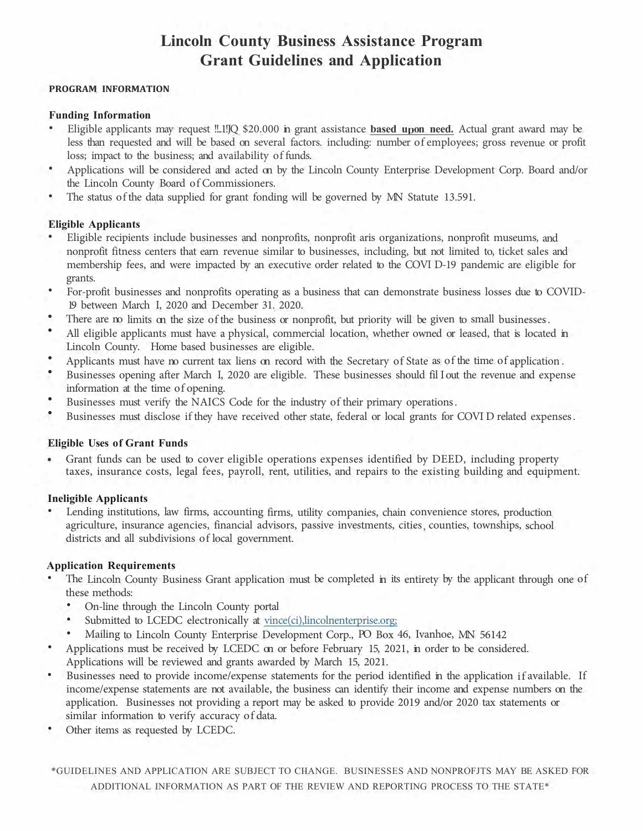# **Lincoln County Business Assistance Program Grant Guidelines and Application**

#### **PROGRAM INFORMATION**

## **Funding Information**

- Eligible applicants may request !!..1!JQ \$20.000 in grant assistance **based u on need.** Actual grant award may be less than requested and will be based on several factors. including: number of employees; gross revenue or profit loss; impact to the business; and availability of funds.
- Applications will be considered and acted on by the Lincoln County Enterprise Development Corp. Board and/or the Lincoln County Board of Commissioners.
- The status of the data supplied for grant fonding will be governed by MN Statute 13.591.

## **Eligible Applicants**

- Eligible recipients include businesses and nonprofits, nonprofit aris organizations, nonprofit museums, and nonprofit fitness centers that earn revenue similar to businesses, including, but not limited to, ticket sales and membership fees, and were impacted by an executive order related to the COVI D-19 pandemic are eligible for grants.
- For-profit businesses and nonprofits operating as a business that can demonstrate business losses due to COVID-19 between March I, 2020 and December 31. 2020.
- There are no limits on the size of the business or nonprofit, but priority will be given to small businesses.
- All eligible applicants must have a physical, commercial location, whether owned or leased, that is located in Lincoln County. Home based businesses are eligible.
- Applicants must have no current tax liens on record with the Secretary of State as of the time of application .
- Businesses opening after March I, 2020 are eligible. These businesses should fil I out the revenue and expense information at the time of opening.
- Businesses must verify the NAICS Code for the industry of their primary operations .
- Businesses must disclose if they have received other state, federal or local grants for COVI D related expenses .

## **Eligible Uses of Grant Funds**

a. Grant funds can be used to cover eligible operations expenses identified by DEED, including property taxes, insurance costs, legal fees, payroll, rent, utilities, and repairs to the existing building and equipment.

## **Ineligible Applicants**

Lending institutions, law firms, accounting firms, utility companies, chain convenience stores, production agriculture, insurance agencies, financial advisors, passive investments, cities, counties, townships, school districts and all subdivisions of local government.

## **Application Requirements**

- The Lincoln County Business Grant application must be completed in its entirety by the applicant through one of these methods:
	- On-line through the Lincoln County portal
	- Submitted to LCEDC electronically at vince(ci),lincolnenterprise.org;
	- Mailing to Lincoln County Enterprise Development Corp., PO Box 46, Ivanhoe, MN 56142
- Applications must be received by LCEDC on or before February 15, 2021, in order to be considered. Applications will be reviewed and grants awarded by March 15, 2021.
- Businesses need to provide income/expense statements for the period identified in the application if available. If income/expense statements are not available, the business can identify their income and expense numbers on the application. Businesses not providing a report may be asked to provide 2019 and/or 2020 tax statements or similar information to verify accuracy of data.
- Other items as requested by LCEDC.

\*GUIDELINES AND APPLICATION ARE SUBJECT TO CIIANGE. BUSINESSES AND NONPROFJTS MAY BE ASKED FOR ADDITIONAL INFORMATION AS PART OF THE REVIEW AND REPORTING PROCESS TO THE STATE\*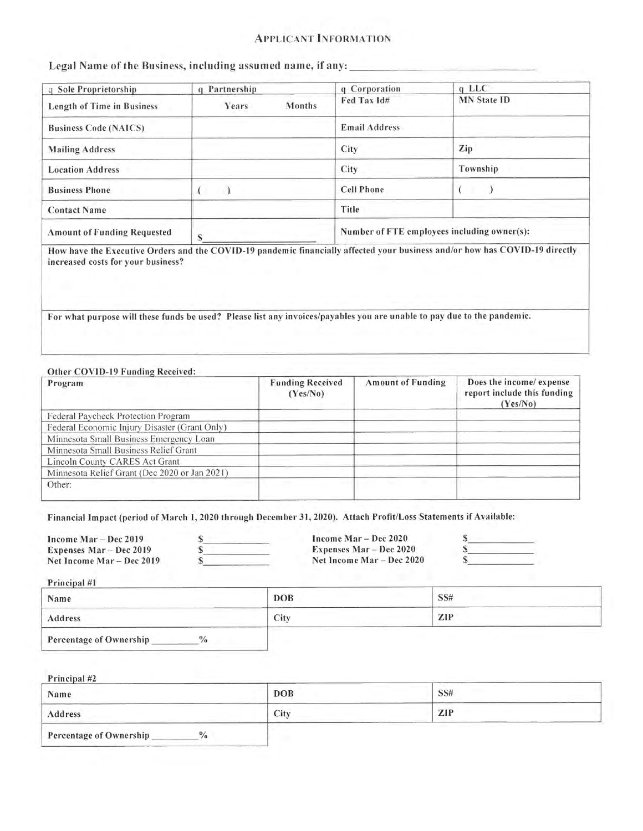#### **APPLICANT INFORMATION**

Legal Name of the Business, including assumed name, if any:

| q Sole Proprietorship              | q Partnership   | q Corporation                               | $q$ LLC            |
|------------------------------------|-----------------|---------------------------------------------|--------------------|
| <b>Length of Time in Business</b>  | Months<br>Years | Fed Tax Id#                                 | <b>MN</b> State ID |
| <b>Business Code (NAICS)</b>       |                 | <b>Email Address</b>                        |                    |
| <b>Mailing Address</b>             |                 | City                                        | Zip                |
| <b>Location Address</b>            |                 | City                                        | Township           |
| <b>Business Phone</b>              |                 | <b>Cell Phone</b>                           |                    |
| <b>Contact Name</b>                |                 | Title                                       |                    |
| <b>Amount of Funding Requested</b> | e               | Number of FTE employees including owner(s): |                    |

How have the Executive Orders and the COVID-19 pandemic financially affected your business and/or how has COVID-19 directly increased costs for your business?

For what purpose will these funds be used? Please list any invoices/payables you are unable to pay due to the pandemic.

#### Other COVID-19 Funding Received:

| Program                                       | <b>Funding Received</b><br>(Yes/No) | <b>Amount of Funding</b> | Does the income/ expense<br>report include this funding<br>(Yes/No) |
|-----------------------------------------------|-------------------------------------|--------------------------|---------------------------------------------------------------------|
| Federal Paycheck Protection Program           |                                     |                          |                                                                     |
| Federal Economic Injury Disaster (Grant Only) |                                     |                          |                                                                     |
| Minnesota Small Business Emergency Loan       |                                     |                          |                                                                     |
| Minnesota Small Business Relief Grant         |                                     |                          |                                                                     |
| Lincoln County CARES Act Grant                |                                     |                          |                                                                     |
| Minnesota Relief Grant (Dec 2020 or Jan 2021) |                                     |                          |                                                                     |
| Other:                                        |                                     |                          |                                                                     |

Financial Impact (period of March 1, 2020 through December 31, 2020). Attach Profit/Loss Statements if Available:

| Income $Mar - Dec 2019$   | Income $Mar - Dec 2020$        |  |
|---------------------------|--------------------------------|--|
| Expenses Mar – Dec 2019   | <b>Expenses Mar – Dec 2020</b> |  |
| Net Income Mar – Dec 2019 | Net Income Mar – Dec 2020      |  |

Principal #1

| Name                                          | <b>DOB</b> | SS#      |
|-----------------------------------------------|------------|----------|
| Address                                       | City       | ZIP      |
| Percentage of Ownership<br>$\frac{0}{\alpha}$ |            | ________ |

| Principal #2                                  |            |     |  |
|-----------------------------------------------|------------|-----|--|
| Name                                          | <b>DOB</b> | SS# |  |
| Address                                       | City       | ZIP |  |
| Percentage of Ownership<br>$\frac{0}{\alpha}$ |            |     |  |